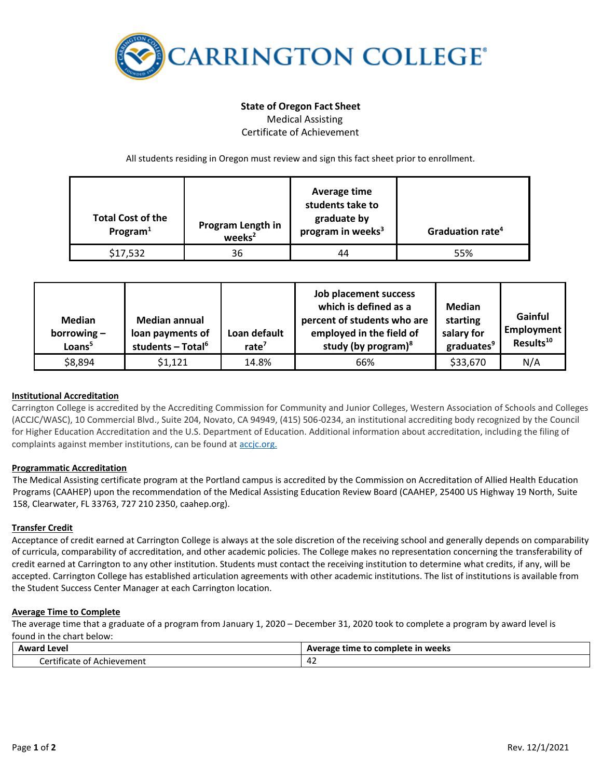

#### **State of Oregon Fact Sheet** Medical Assisting

Certificate of Achievement

All students residing in Oregon must review and sign this fact sheet prior to enrollment.

| <b>Total Cost of the</b><br>Program $1$ | Program Length in<br>weeks <sup>2</sup> | Average time<br>students take to<br>graduate by<br>program in weeks <sup>3</sup> | Graduation rate <sup>4</sup> |  |
|-----------------------------------------|-----------------------------------------|----------------------------------------------------------------------------------|------------------------------|--|
| \$17,532                                | 36                                      | 44                                                                               | 55%                          |  |

| <b>Median</b><br>borrowing $-$<br>Loans <sup>5</sup> | <b>Median annual</b><br>loan payments of<br>students - Total <sup>6</sup> | Loan default<br>rate $7$ | Job placement success<br>which is defined as a<br>percent of students who are<br>employed in the field of<br>study (by program) $8$ | Median<br>starting<br>salary for<br>graduates <sup>9</sup> | Gainful<br>Employment<br>Results <sup>10</sup> |
|------------------------------------------------------|---------------------------------------------------------------------------|--------------------------|-------------------------------------------------------------------------------------------------------------------------------------|------------------------------------------------------------|------------------------------------------------|
| \$8,894                                              | \$1,121                                                                   | 14.8%                    | 66%                                                                                                                                 | \$33,670                                                   | N/A                                            |

# **Institutional Accreditation**

Carrington College is accredited by the Accrediting Commission for Community and Junior Colleges, Western Association of Schools and Colleges (ACCJC/WASC), 10 Commercial Blvd., Suite 204, Novato, CA 94949, (415) 506-0234, an institutional accrediting body recognized by the Council for Higher Education Accreditation and the U.S. Department of Education. Additional information about accreditation, including the filing of complaints against member institutions, can be found a[t accjc.org.](http://www.accjc.org/)

# **Programmatic Accreditation**

The Medical Assisting certificate program at the Portland campus is accredited by the Commission on Accreditation of Allied Health Education Programs (CAAHEP) upon the recommendation of the Medical Assisting Education Review Board (CAAHEP, 25400 US Highway 19 North, Suite 158, Clearwater, FL 33763, 727 210 2350, caahep.org).

# **Transfer Credit**

Acceptance of credit earned at Carrington College is always at the sole discretion of the receiving school and generally depends on comparability of curricula, comparability of accreditation, and other academic policies. The College makes no representation concerning the transferability of credit earned at Carrington to any other institution. Students must contact the receiving institution to determine what credits, if any, will be accepted. Carrington College has established articulation agreements with other academic institutions. The list of institutions is available from the Student Success Center Manager at each Carrington location.

#### **Average Time to Complete**

The average time that a graduate of a program from January 1, 2020 – December 31, 2020 took to complete a program by award level is found in the chart below:

| . Level<br>Award                                           | Average time to complete in weeks |
|------------------------------------------------------------|-----------------------------------|
| $\cdots$<br>ertificate.<br>* Achievement<br>---<br>ОT<br>◡ | ் 4∠                              |